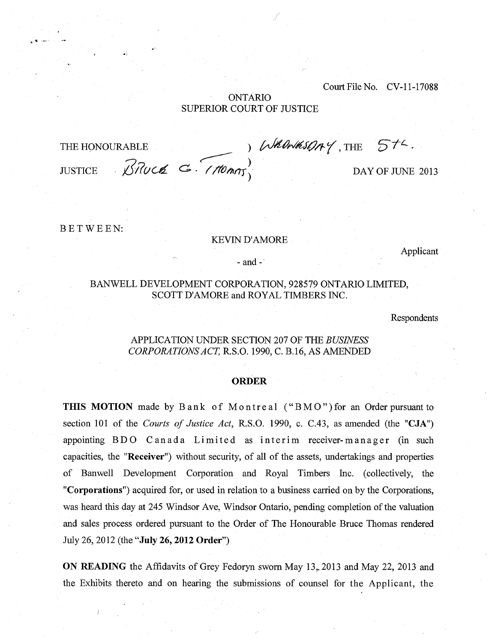Court File No. CV-11-17088

# ONTARIO SUPERIOR COURT OF JUSTICE

 $\mathcal{B}$ *Ruch*  $\mathcal{C}$ - $(7$ *fonn*<sub> $1$ </sub> DAY OF JUNE 2013 THE HONOURABLE ) Whomeson Y, THE )

BETWEEN:

#### KEVIN D'AMORE

Applicant

- and -

# BAN WELL DEVELOPMENT CORPORATION, 928579 ONTARIO LIMITED, SCOTT D'AMORE and ROYAL TIMBERS INC.

Respondents

# APPLICATION UNDER SECTION 207 OF THE *BUSINESS CORPORATIONS ACT,* R.S.O. 1990, C. B.16, AS AMENDED

#### **ORDER**

**THIS MOTION** made by Bank of Montreal ("BMO") for an Order pursuant to section 101 of the *Courts of Justice Act,* R.S.O. 1990, c. C.43, as amended (the **"CJA")**  appointing BDO Canada Limited as interim receiver-manager (in such capacities, the **"Receiver")** without security, of all of the assets, undertakings and properties of Banwell Development Corporation and Royal Timbers Inc. (collectively, the **"Corporations")** acquired for, or used in relation to a business carried on by the Corporations, was heard this day at 245 Windsor Ave, Windsor Ontario, pending completion of the valuation and sales process ordered pursuant to the Order of The Honourable Bruce Thomas rendered July 26, 2012 (the **"July 26, 2012 Order")** 

**ON READING** the Affidavits of Grey Fedoryn sworn May 13,. 2013 and May 22, 2013 and the Exhibits thereto and on hearing the submissions of counsel for the Applicant, the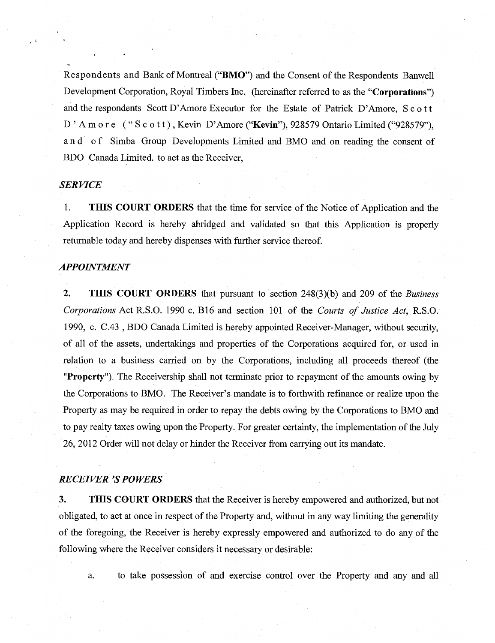Respondents and Bank of Montreal ("BMO") and the Consent of the Respondents Banwell Development Corporation, Royal Timbers Inc. (hereinafter referred to as the "Corporations") and the respondents Scott D'Amore Executor for the Estate of Patrick D'Amore, Scott D'Amore ("Scott), Kevin D'Amore ("Kevin"), 928579 Ontario Limited ("928579"), and of Simba Group Developments Limited and BMO and on reading the consent of BDO Canada Limited. to act as the Receiver,

# *SERVICE*

1. THIS COURT ORDERS that the time for service of the Notice of Application and the Application Record is hereby abridged and validated so that this Application is properly returnable today and hereby dispenses with further service thereof.

#### *APPOINTMENT*

2. THIS COURT ORDERS that pursuant to section 248(3)(b) and 209 of the *Business Corporations* Act R.S.O. 1990 c. B16 and section 101 of the *Courts of Justice Act,* R.S.O. 1990, c. C.43 , BDO Canada Limited is hereby appointed Receiver-Manager, without security, of all of the assets, undertakings and properties of the Corporations acquired for, or used in relation to a business carried on by the Corporations, including all proceeds thereof (the "Property"). The Receivership shall not terminate prior to repayment of the amounts owing by the Corporations to BMO. The Receiver's mandate is to forthwith refinance or realize upon the Property as may be required in order to repay the debts owing by the Corporations to BMO and to pay realty taxes owing upon the Property. For greater certainty, the implementation of the July 26, 2012 Order will not delay or hinder the Receiver from carrying out its mandate.

#### *RECEIVER 'S POWERS*

3. THIS COURT ORDERS that the Receiver is hereby empowered and authorized, but not obligated, to act at once in respect of the Property and, without in any way limiting the generality of the foregoing, the Receiver is hereby expressly empowered and authorized to do any of the following where the Receiver considers it necessary or desirable:

a. to take possession of and exercise control over the Property and any and all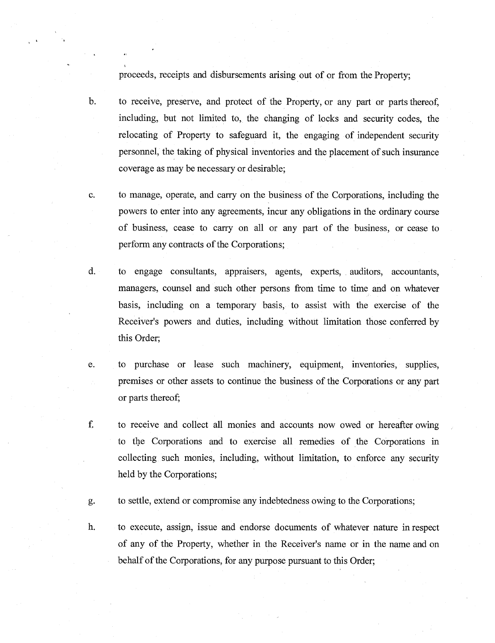proceeds, receipts and disbursements arising out of or from the Property;

- b. to receive, preserve, and protect of the Property, or any part or parts thereof, including, but not limited to, the changing of locks and security codes, the relocating of Property to safeguard it, the engaging of independent security personnel, the taking of physical inventories and the placement of such insurance coverage as may be necessary or desirable;
- c. to manage, operate, and carry on the business of the Corporations, including the powers to enter into any agreements, incur any obligations in the ordinary course of business, cease to carry on all or any part of the business, or cease to perform any contracts of the Corporations;
- d. to engage consultants, appraisers, agents, experts, auditors, accountants, managers, counsel and such other persons from time to time and on whatever basis, including on a temporary basis, to assist with the exercise of the Receiver's powers and duties, including without limitation those conferred by this Order;
- e. to purchase or lease such machinery, equipment, inventories, supplies, premises or other assets to continue the business of the Corporations or any part or parts thereof;
- f. to receive and collect all monies and accounts now owed or hereafter owing to the Corporations and to exercise all remedies of the Corporations in collecting such monies, including, without limitation, to enforce any security held by the Corporations;

g. to settle, extend or compromise any indebtedness owing to the Corporations;

h. to execute, assign, issue and endorse documents of whatever nature in respect of any of the Property, whether in the Receiver's name or in the name and on behalf of the Corporations, for any purpose pursuant to this Order;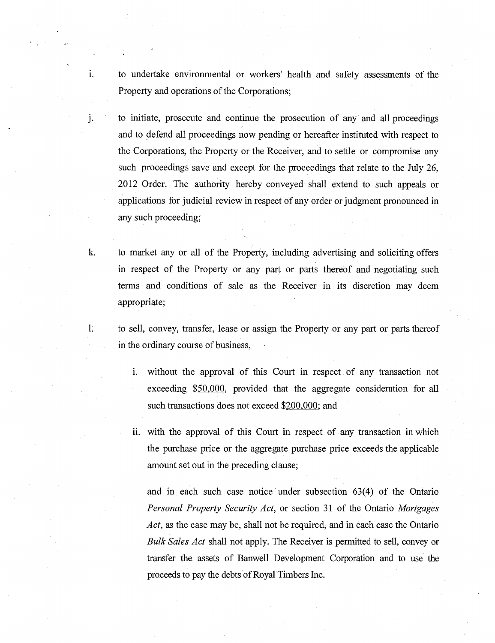i. to undertake environmental or workers' health and safety assessments of the Property and operations of the Corporations;

j.

- to initiate, prosecute and continue the prosecution of any and all proceedings and to defend all proceedings now pending or hereafter instituted with respect to the Corporations, the Property or the Receiver, and to settle or compromise any such proceedings save and except for the proceedings that relate to the July 26, 2012 Order. The authority hereby conveyed shall extend to such appeals or applications for judicial review in respect of any order or judgment pronounced in any such proceeding;
- k. to market any or all of the Property, including advertising and soliciting offers in respect of the Property or any part or parts thereof and negotiating such terms and conditions of sale as the Receiver in its discretion may deem appropriate;
- $1^{\circ}$ to sell, convey, transfer, lease or assign the Property or any part or parts thereof in the ordinary course of business,
	- i. without the approval of this Court in respect of any transaction not exceeding \$50,000, provided that the aggregate consideration for all such transactions does not exceed \$200,000; and
	- ii. with the approval of this Court in respect of any transaction in which the purchase price or the aggregate purchase price exceeds the applicable amount set out in the preceding clause;

and in each such case notice under subsection 63(4) of the Ontario *Personal Property Security Act,* or section 31 of the Ontario *Mortgages Act,* as the case may be, shall not be required, and in each case the Ontario *Bulk Sales Act* shall not apply. The Receiver is permitted to sell, convey or transfer the assets of Banwell Development Corporation and to use the proceeds to pay the debts of Royal Timbers Inc.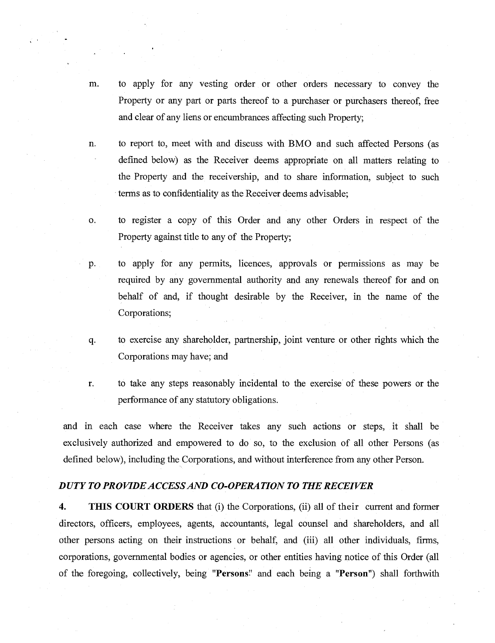- m. to apply for any vesting order or other orders necessary to convey the Property or any part or parts thereof to a purchaser or purchasers thereof, free and clear of any liens or encumbrances affecting such Property;
- n. to report to, meet with and discuss with BMO and such affected Persons (as defined below) as the Receiver deems appropriate on all matters relating to the Property and the receivership, and to share information, subject to such terms as to confidentiality as the Receiver deems advisable;
- o. to register a copy of this Order and any other Orders in respect of the Property against title to any of the Property;
- to apply for any permits, licences, approvals or permissions as may be p. required by any governmental authority and any renewals thereof for and on behalf of and, if thought desirable by the Receiver, in the name of the Corporations;
- q. to exercise any shareholder, partnership, joint venture or other rights which the Corporations may have; and
- r. to take any steps reasonably incidental to the exercise of these powers or the performance of any statutory obligations.

and in each case where the Receiver takes any such actions or steps, it shall be exclusively authorized and empowered to do so, to the exclusion of all other Persons (as defined below), including the Corporations, and without interference from any other Person.

#### *DUTY TO PROVIDE ACCESS AND CO-OPERATION TO THE RECEIVER*

**4. THIS COURT ORDERS** that (i) the Corporations, (ii) all of their current and former directors, officers, employees, agents, accountants, legal counsel and shareholders, and all other persons acting on their instructions or behalf, and (iii) all other individuals, firms, corporations, governmental bodies or agencies, or other entities having notice of this Order (all of the foregoing, collectively, being **"Persons"** and each being a **"Person")** shall forthwith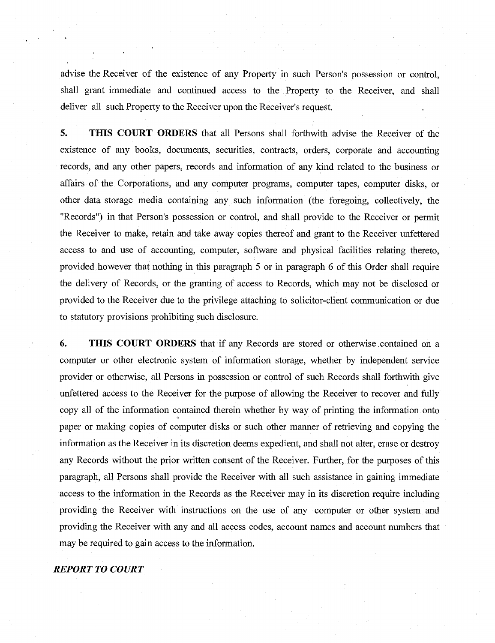advise the Receiver of the existence of any Property in such Person's possession or control, shall grant immediate and continued access to the Property to the Receiver, and shall deliver all such Property to the Receiver upon the Receiver's request.

**5. THIS COURT ORDERS** that all Persons shall forthwith advise the Receiver of the existence of any books, documents, securities, contracts, orders, corporate and accounting records, and any other papers, records and information of any kind related to the business or affairs of the Corporations, and any computer programs, computer tapes, computer disks, or other data storage media containing any such information (the foregoing, collectively, the "Records") in that Person's possession or control, and shall provide to the Receiver or permit the Receiver to make, retain and take away copies thereof and grant to the Receiver unfettered access to and use of accounting, computer, software and physical facilities relating thereto, provided however that nothing in this paragraph 5 or in paragraph 6 of this Order shall require the delivery of Records, or the granting of access to Records, which may not be disclosed or provided to the Receiver due to the privilege attaching to solicitor-client communication or due to statutory provisions prohibiting such disclosure.

**6. THIS COURT ORDERS** that if any Records are stored or otherwise contained on a computer or other electronic system of information storage, whether by independent service provider or otherwise, all Persons in possession or control of such Records shall forthwith give unfettered access to the Receiver for the purpose of allowing the Receiver to recover and fully copy all of the information contained therein whether by way of printing the information onto paper or making copies of computer disks or such other manner of retrieving and copying the information as the Receiver in its discretion deems expedient, and shall not alter, erase or destroy any Records without the prior written consent of the Receiver. Further, for the purposes of this paragraph, all Persons shall provide the Receiver with all such assistance in gaining immediate access to the information in the Records as the Receiver may in its discretion require including providing the Receiver with instructions on the use of any computer or other system and providing the Receiver with any and all access codes, account names and account numbers that may be required to gain access to the information.

# *REPORT TO COURT*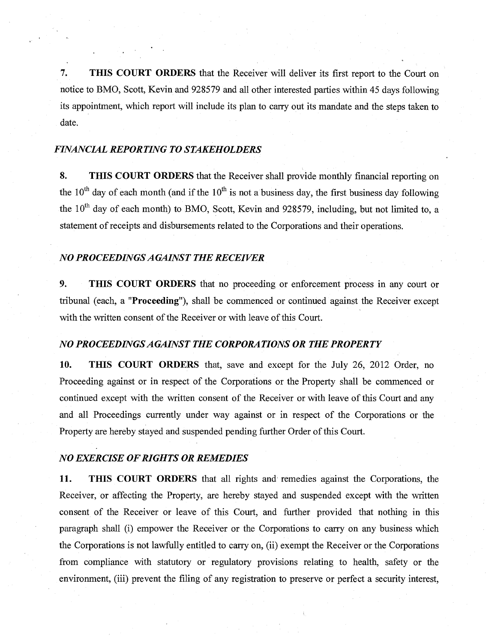7. THIS COURT ORDERS that the Receiver will deliver its first report to the Court on notice to BMO, Scott, Kevin and 928579 and all other interested parties within 45 days following its appointment, which report will include its plan to carry out its mandate and the steps taken to date.

#### *FINANCIAL REPORTING TO STAKEHOLDERS*

8. THIS COURT ORDERS that the Receiver shall provide monthly financial reporting on the 10<sup>th</sup> day of each month (and if the 10<sup>th</sup> is not a business day, the first business day following the  $10<sup>th</sup>$  day of each month) to BMO, Scott, Kevin and 928579, including, but not limited to, a statement of receipts and disbursements related to the Corporations and their operations.

#### *NO PROCEEDINGS AGAINST THE RECEIVER*

9. THIS COURT ORDERS that no proceeding or enforcement process in any court or tribunal (each, a "Proceeding"), shall be commenced or continued against the Receiver except with the written consent of the Receiver or with leave of this Court.

#### *NO PROCEEDINGS AGAINST THE CORPORATIONS OR THE PROPERTY*

10. THIS COURT ORDERS that, save and except for the July 26, 2012 Order, no Proceeding against or in respect of the Corporations or the Property shall be commenced or continued except with the written consent of the Receiver or with leave of this Court and any and all Proceedings currently under way against or in respect of the Corporations or the Property are hereby stayed and suspended pending further Order of this Court.

#### *NO EXERCISE OF RIGHTS OR REMEDIES*

11. THIS COURT ORDERS that all rights and remedies against the Corporations, the Receiver, or affecting the Property, are hereby stayed and suspended except with the written consent of the Receiver or leave of this Court, and further provided that nothing in this paragraph shall (i) empower the Receiver or the Corporations to carry on any business which the Corporations is not lawfully entitled to carry on, (ii) exempt the Receiver or the Corporations from compliance with statutory or regulatory provisions relating to health, safety or the environment, (iii) prevent the filing of any registration to preserve or perfect a security interest,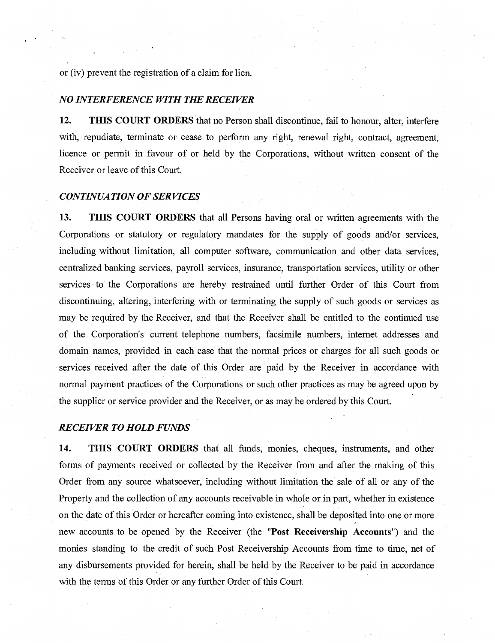or (iv) prevent the registration of a claim for lien.

# *NO INTERFERENCE WITH THE RECEIVER*

**12. THIS COURT ORDERS** that no Person shall discontinue, fail to honour, alter, interfere with, repudiate, terminate or cease to perform any right, renewal right, contract, agreement, licence or permit in favour of or held by the Corporations, without written consent of the Receiver or leave of this Court.

#### *CONTINUATION OF SERVICES*

**13. THIS COURT ORDERS** that all Persons having oral or written agreements with the Corporations or statutory or regulatory mandates for the supply of goods and/or services, including without limitation, all computer software, communication and other data services, centralized banking services, payroll services, insurance, transportation services, utility or other services to the Corporations are hereby restrained until further Order of this Court from discontinuing, altering, interfering with or terminating the supply of such goods or services as may be required by the Receiver, and that the Receiver shall be entitled to the continued use of the Corporation's current telephone numbers, facsimile numbers, internet addresses and domain names, provided in each case that the normal prices or charges for all such goods or services received after the date of this Order are paid by the Receiver in accordance with normal payment practices of the Corporations or such other practices as may be agreed upon by the supplier or service provider and the Receiver, or as may be ordered by this Court.

#### *RECEIVER TO HOLD FUNDS*

**14. THIS COURT ORDERS** that all funds, monies, cheques, instruments, and other forms of payments received or collected by the Receiver from and after the making of this Order from any source whatsoever, including without limitation the sale of all or any of the Property and the collection of any accounts receivable in whole or in part, whether in existence on the date of this Order or hereafter coming into existence, shall be deposited into one or more new accounts to be opened by the Receiver (the **"Post Receivership Accounts")** and the monies standing to the credit of such Post Receivership Accounts from time to time, net of any disbursements provided for herein, shall be held by the Receiver to be paid in accordance with the terms of this Order or any further Order of this Court.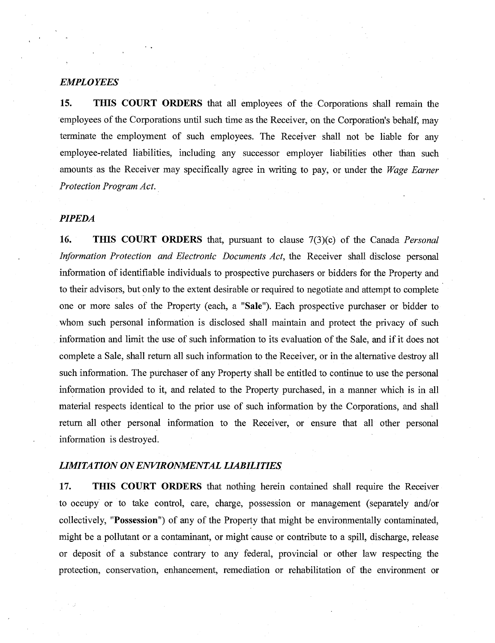## *EMPLOYEES*

**15. THIS COURT ORDERS** that all employees of the Corporations shall remain the employees of the Corporations until such time as the Receiver, on the Corporation's behalf, may terminate the employment of such employees. The Receiver shall not be liable for any employee-related liabilities, including any successor employer liabilities other than such amounts as the Receiver may specifically agree in writing to pay, or under the *Wage Earner Protection Program Act.* 

# *PIPEDA*

**16. THIS COURT ORDERS** that, pursuant to clause 7(3)(c) of the Canada *Personal Information Protection and Electronic Documents Act,* the Receiver shall disclose personal information of identifiable individuals to prospective purchasers or bidders for the Property and to their advisors, but only to the extent desirable or required to negotiate and attempt to complete one or more sales of the Property (each, a **"Sale").** Each prospective purchaser or bidder to whom such personal information is disclosed shall maintain and protect the privacy of such information and limit the use of such information to its evaluation of the Sale, and if it does not complete a Sale, shall return all such information to the Receiver, or in the alternative destroy all such information. The purchaser of any Property shall be entitled to continue to use the personal information provided to it, and related to the Property purchased, in a manner which is in all material respects identical to the prior use of such information by the Corporations, and shall return all other personal information to the Receiver, or ensure that all other personal information is destroyed.

#### *LIMITATION ON ENVIRONMENTAL LIABILITIES*

**17. THIS COURT ORDERS** that nothing herein contained shall require the Receiver to occupy or to take control, care, charge, possession or management (separately and/or collectively, **"Possession")** of any of the Property that might be environmentally contaminated, might be a pollutant or a contaminant, or might cause or contribute to a spill, discharge, release or deposit of a substance contrary to any federal, provincial or other law respecting the protection, conservation, enhancement, remediation or rehabilitation of the environment or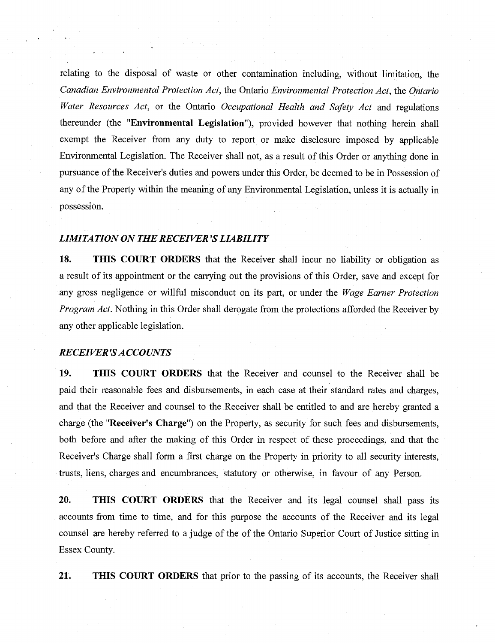relating to the disposal of waste or other contamination including, without limitation, the *Canadian Environmental Protection Act,* the Ontario *Environmental Protection Act,* the *Ontario Water Resources Act,* or the Ontario *Occupational Health and Safety Act* and regulations thereunder (the **"Environmental Legislation"),** provided however that nothing herein shall exempt the Receiver from any duty to report or make disclosure imposed by applicable Environmental Legislation. The Receiver shall not, as a result of this Order or anything done in pursuance of the Receiver's duties and powers under this Order, be deemed to be in Possession of any of the Property within the meaning of any Environmental Legislation, unless it is actually in possession.

#### *LIMITATION ON THE RECEIVER'S LIABILITY*

**18. THIS COURT ORDERS** that the Receiver shall incur no liability or obligation as a result of its appointment or the carrying out the provisions of this Order, save and except for any gross negligence or willful misconduct on its part, or under the *Wage Earner Protection Program Act.* Nothing in this Order shall derogate from the protections afforded the Receiver by any other applicable legislation.

#### *RECEIVER'S ACCOUNTS*

**19. THIS COURT ORDERS** that the Receiver and counsel to the Receiver shall be paid their reasonable fees and disbursements, in each case at their standard rates and charges, and that the Receiver and counsel to the Receiver shall be entitled to and are hereby granted a charge (the **"Receiver's Charge")** on the Property, as security for such fees and disbursements, both before and after the making of this Order in respect of these proceedings, and that the Receiver's Charge shall form a first charge on the Property in priority to all security interests, trusts, liens, charges and encumbrances, statutory or otherwise, in favour of any Person.

**20. THIS COURT ORDERS** that the Receiver and its legal counsel shall pass its accounts from time to time, and for this purpose the accounts of the Receiver and its legal counsel are hereby referred to a judge of the of the Ontario Superior Court of Justice sitting in Essex County.

**21. THIS COURT ORDERS** that prior to the passing of its accounts, the Receiver shall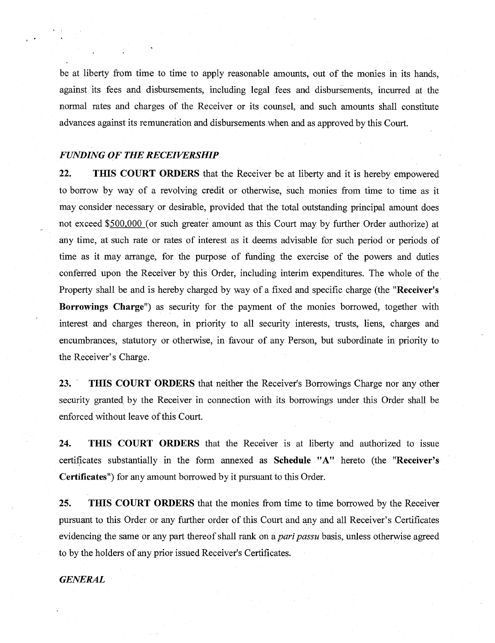be at liberty from time to time to apply reasonable amounts, out of the monies in its hands, against its fees and disbursements, including legal fees and disbursements, incurred at the normal rates and charges of the Receiver or its counsel, and such amounts shall constitute advances against its remuneration and disbursements when and as approved by this Court.

#### *FUNDING OF THE RECEIVERSHIP*

**22. THIS COURT ORDERS** that the Receiver be at liberty and it is hereby empowered to borrow by way of a revolving credit or otherwise, such monies from time to time as it may consider necessary or desirable, provided that the total outstanding principal amount does not exceed \$500,000 (or such greater amount as this Court may by further Order authorize) at any time, at such rate or rates of interest as it deems advisable for such period or periods of time as it may arrange, for the purpose of funding the exercise of the powers and duties conferred upon the Receiver by this Order, including interim expenditures. The whole of the Property shall be and is hereby charged by way of a fixed and specific charge (the **"Receiver's Borrowings Charge")** as security for the payment of the monies borrowed, together with interest and charges thereon, in priority to all security interests, trusts, liens, charges and encumbrances, statutory or otherwise, in favour of any Person, but subordinate in priority to the Receiver's Charge.

**23. THIS COURT ORDERS** that neither the Receiver's Borrowings Charge nor any other security granted by the Receiver in connection with its borrowings under this Order shall be enforced without leave of this Court.

**24. THIS COURT ORDERS** that the Receiver is at liberty and authorized to issue certificates substantially in the form annexed as **Schedule "A"** hereto (the **"Receiver's Certificates")** for any amount borrowed by it pursuant to this Order.

**25. THIS COURT ORDERS** that the monies from time to time borrowed by the Receiver pursuant to this Order or any further order of this Court and any and all Receiver's Certificates evidencing the same or any part thereof shall rank on *a pari passu* basis, unless otherwise agreed to by the holders of any prior issued Receiver's Certificates.

*GENERAL*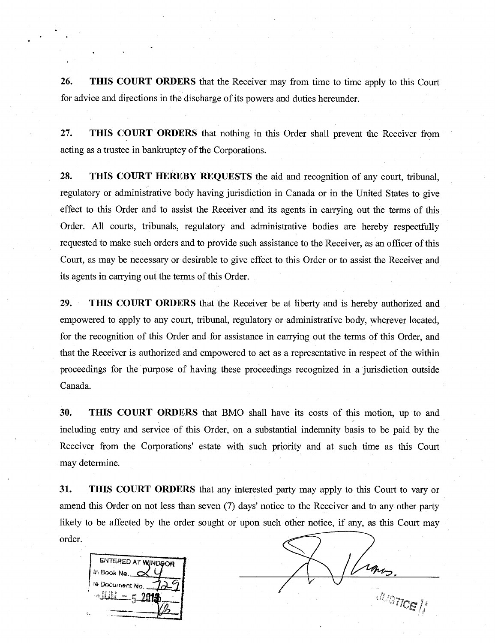**26. THIS COURT ORDERS** that the Receiver may from time to time apply to this Court for advice and directions in the discharge of its powers and duties hereunder.

**27. THIS COURT ORDERS** that nothing in this Order shall prevent the Receiver from acting as a trustee in bankruptcy of the Corporations.

**28. THIS COURT HEREBY REQUESTS** the aid and recognition of any court, tribunal, regulatory or administrative body having jurisdiction in Canada or in the United States to give effect to this Order and to assist the Receiver and its agents in carrying out the terms of this Order. All courts, tribunals, regulatory and administrative bodies are hereby respectfully requested to make such orders and to provide such assistance to the Receiver, as an officer of this Court, as may be necessary or desirable to give effect to this Order or to assist the Receiver and its agents in carrying out the terms of this Order.

**29. THIS COURT ORDERS** that the Receiver be at liberty and is hereby authorized and empowered to apply to any court, tribunal, regulatory or administrative body, wherever located, for the recognition of this Order and for assistance in carrying out the terms of this Order, and that the Receiver is authorized and empowered to act as a representative in respect of the within proceedings for the purpose of having these proceedings recognized in a jurisdiction outside Canada.

**30. THIS COURT ORDERS** that BMO shall have its costs of this motion, up to and including entry and service of this Order, on a substantial indemnity basis to be paid by the Receiver from the Corporations' estate with such priority and at such time as this Court may determine

**31. THIS COURT ORDERS** that any interested party may apply to this Court to vary or amend this Order on not less than seven (7) days' notice to the Receiver and to any other party likely to be affected by the order sought or upon such other notice, if any, as this Court may order.



rans.

**JUSTICE / 1**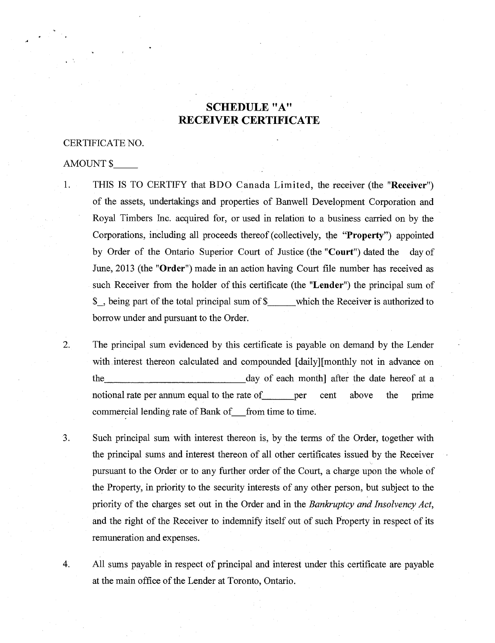# **SCHEDULE "A" RECEIVER CERTIFICATE**

#### CERTIFICATE NO.

#### AMOUNT \$

- 1. THIS IS TO CERTIFY that BDO Canada Limited, the receiver (the "Receiver") of the assets, undertakings and properties of Banwell Development Corporation and Royal Timbers Inc. acquired for, or used in relation to a business carried on by the Corporations, including all proceeds thereof (collectively, the **"Property")** appointed by Order of the Ontario Superior Court of Justice (the **"Court")** dated the day of June, 2013 (the **"Order")** made in an action having Court file number has received as such Receiver from the holder of this certificate (the **"Lender")** the principal sum of \$\_, being part of the total principal sum of \$ which the Receiver is authorized to borrow under and pursuant to the Order.
- 2. The principal sum evidenced by this certificate is payable on demand by the Lender with interest thereon calculated and compounded [daily][monthly not in advance on the day of each month] after the date hereof at a notional rate per annum equal to the rate of per cent above the prime commercial lending rate of Bank of from time to time.
- 3. Such principal sum with interest thereon is, by the terms of the Order, together with the principal sums and interest thereon of all other certificates issued by the Receiver pursuant to the Order or to any further order of the Court, a charge upon the whole of the Property, in priority to the security interests of any other person, but subject to the priority of the charges set out in the Order and in the *Bankruptcy and Insolvency Act,*  and the right of the Receiver to indemnify itself out of such Property in respect of its remuneration and expenses.
- 4. All sums payable in respect of principal and interest under this certificate are payable at the main office of the Lender at Toronto, Ontario.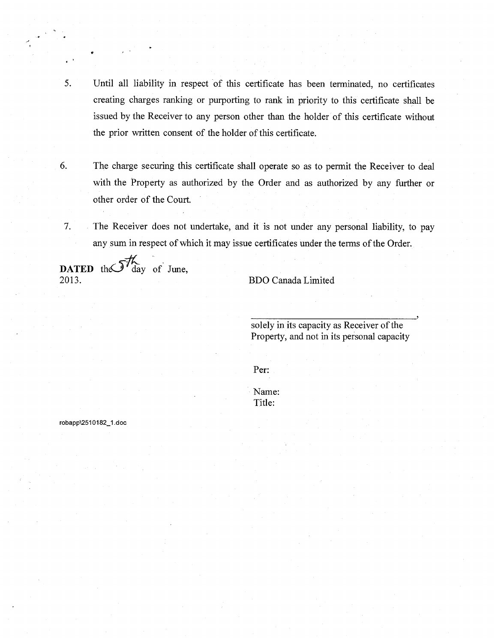- 5. Until all liability in respect of this certificate has been terminated, no certificates creating charges ranking or purporting to rank in priority to this certificate shall be issued by the Receiver to any person other than the holder of this certificate without the prior written consent of the holder of this certificate.
- 6. The charge securing this certificate shall operate so as to permit the Receiver to deal with the Property as authorized by the Order and as authorized by any further or other order of the Court.
- 7. The Receiver does not undertake, and it is not under any personal liability, to pay any sum in respect of which it may issue certificates under the terms of the Order.

DATED the  $\mathcal{J}_{\text{day}}^7$  of June,

2013. BDO Canada Limited

solely in its capacity as Receiver of the Property, and not in its personal capacity

5

Per:

Name: Title:

robapp\2510182\_1.doc